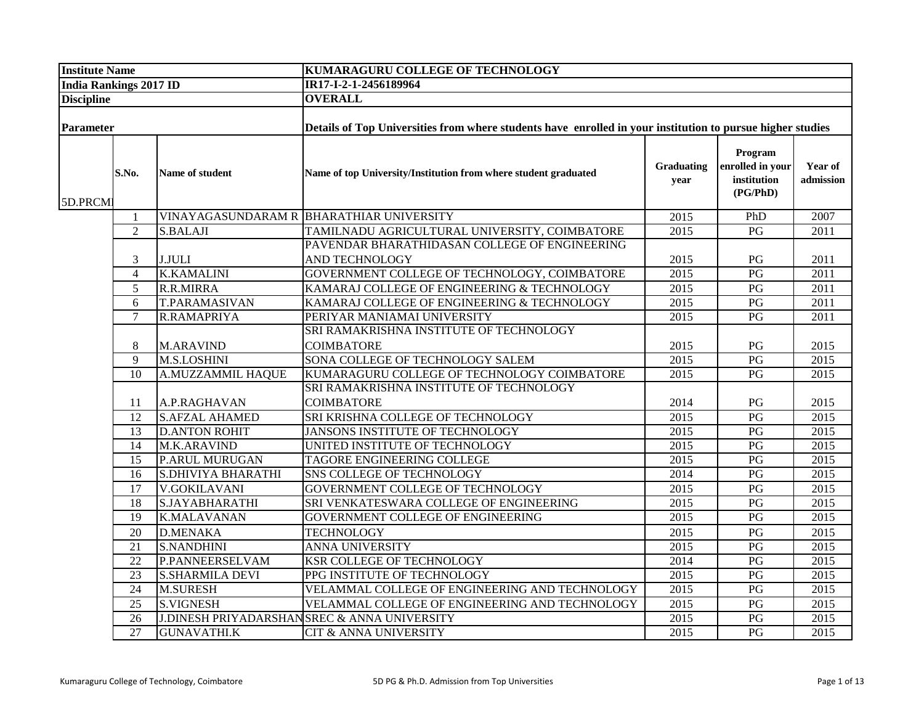| <b>Institute Name</b>         |                 |                           | <b>KUMARAGURU COLLEGE OF TECHNOLOGY</b>                                                                    |                    |                                                        |                      |  |
|-------------------------------|-----------------|---------------------------|------------------------------------------------------------------------------------------------------------|--------------------|--------------------------------------------------------|----------------------|--|
| <b>India Rankings 2017 ID</b> |                 |                           | IR17-I-2-1-2456189964                                                                                      |                    |                                                        |                      |  |
| <b>Discipline</b>             |                 |                           | <b>OVERALL</b>                                                                                             |                    |                                                        |                      |  |
|                               |                 |                           |                                                                                                            |                    |                                                        |                      |  |
| Parameter                     |                 |                           | Details of Top Universities from where students have enrolled in your institution to pursue higher studies |                    |                                                        |                      |  |
| 5D.PRCMI                      | S.No.           | Name of student           | Name of top University/Institution from where student graduated                                            | Graduating<br>year | Program<br>enrolled in your<br>institution<br>(PG/PhD) | Year of<br>admission |  |
|                               | $\mathbf{1}$    |                           | VINAYAGASUNDARAM R BHARATHIAR UNIVERSITY                                                                   | 2015               | PhD                                                    | 2007                 |  |
|                               | $\overline{2}$  | <b>S.BALAJI</b>           | TAMILNADU AGRICULTURAL UNIVERSITY, COIMBATORE                                                              | 2015               | $\overline{PG}$                                        | 2011                 |  |
|                               |                 |                           | PAVENDAR BHARATHIDASAN COLLEGE OF ENGINEERING                                                              |                    |                                                        |                      |  |
|                               | $\mathfrak{Z}$  | <b>J.JULI</b>             | <b>AND TECHNOLOGY</b>                                                                                      | 2015               | PG                                                     | 2011                 |  |
|                               | $\overline{4}$  | <b>K.KAMALINI</b>         | GOVERNMENT COLLEGE OF TECHNOLOGY, COIMBATORE                                                               | 2015               | PG                                                     | $\overline{2011}$    |  |
|                               | 5               | R.R.MIRRA                 | KAMARAJ COLLEGE OF ENGINEERING & TECHNOLOGY                                                                | 2015               | $\mathbf{P}\mathbf{G}$                                 | 2011                 |  |
|                               | 6               | <b>T.PARAMASIVAN</b>      | KAMARAJ COLLEGE OF ENGINEERING & TECHNOLOGY                                                                | 2015               | PG                                                     | 2011                 |  |
|                               | $\overline{7}$  | R.RAMAPRIYA               | PERIYAR MANIAMAI UNIVERSITY                                                                                | 2015               | PG                                                     | 2011                 |  |
|                               |                 |                           | SRI RAMAKRISHNA INSTITUTE OF TECHNOLOGY                                                                    |                    |                                                        |                      |  |
|                               | 8               | <b>M.ARAVIND</b>          | <b>COIMBATORE</b>                                                                                          | 2015               | PG                                                     | 2015                 |  |
|                               | 9               | <b>M.S.LOSHINI</b>        | SONA COLLEGE OF TECHNOLOGY SALEM                                                                           | 2015               | PG                                                     | 2015                 |  |
|                               | $\overline{10}$ | A.MUZZAMMIL HAQUE         | KUMARAGURU COLLEGE OF TECHNOLOGY COIMBATORE                                                                | 2015               | PG                                                     | 2015                 |  |
|                               |                 |                           | SRI RAMAKRISHNA INSTITUTE OF TECHNOLOGY                                                                    |                    |                                                        |                      |  |
|                               | 11              | A.P.RAGHAVAN              | <b>COIMBATORE</b>                                                                                          | 2014               | PG                                                     | 2015                 |  |
|                               | 12              | <b>S.AFZAL AHAMED</b>     | SRI KRISHNA COLLEGE OF TECHNOLOGY                                                                          | 2015               | PG                                                     | 2015                 |  |
|                               | 13              | <b>D.ANTON ROHIT</b>      | <b>JANSONS INSTITUTE OF TECHNOLOGY</b>                                                                     | 2015               | PG                                                     | 2015                 |  |
|                               | 14              | M.K.ARAVIND               | UNITED INSTITUTE OF TECHNOLOGY                                                                             | 2015               | PG                                                     | 2015                 |  |
|                               | 15              | P.ARUL MURUGAN            | TAGORE ENGINEERING COLLEGE                                                                                 | 2015               | PG                                                     | 2015                 |  |
|                               | 16              | <b>S.DHIVIYA BHARATHI</b> | SNS COLLEGE OF TECHNOLOGY                                                                                  | 2014               | PG                                                     | 2015                 |  |
|                               | 17              | <b>V.GOKILAVANI</b>       | <b>GOVERNMENT COLLEGE OF TECHNOLOGY</b>                                                                    | $\overline{2015}$  | PG                                                     | 2015                 |  |
|                               | 18              | <b>S.JAYABHARATHI</b>     | SRI VENKATESWARA COLLEGE OF ENGINEERING                                                                    | $\overline{2015}$  | PG                                                     | $\overline{2015}$    |  |
|                               | 19              | <b>K.MALAVANAN</b>        | GOVERNMENT COLLEGE OF ENGINEERING                                                                          | 2015               | PG                                                     | 2015                 |  |
|                               | 20              | <b>D.MENAKA</b>           | <b>TECHNOLOGY</b>                                                                                          | 2015               | PG                                                     | 2015                 |  |
|                               | 21              | <b>S.NANDHINI</b>         | ANNA UNIVERSITY                                                                                            | 2015               | PG                                                     | 2015                 |  |
|                               | $\overline{22}$ | P.PANNEERSELVAM           | KSR COLLEGE OF TECHNOLOGY                                                                                  | 2014               | PG                                                     | $\overline{2015}$    |  |
|                               | 23              | <b>S.SHARMILA DEVI</b>    | PPG INSTITUTE OF TECHNOLOGY                                                                                | 2015               | PG                                                     | 2015                 |  |
|                               | 24              | <b>M.SURESH</b>           | VELAMMAL COLLEGE OF ENGINEERING AND TECHNOLOGY                                                             | 2015               | $\mathbf{P}\mathbf{G}$                                 | 2015                 |  |
|                               | 25              | <b>S.VIGNESH</b>          | VELAMMAL COLLEGE OF ENGINEERING AND TECHNOLOGY                                                             | 2015               | PG                                                     | 2015                 |  |
|                               | 26              |                           | J.DINESH PRIYADARSHANSREC & ANNA UNIVERSITY                                                                | 2015               | PG                                                     | 2015                 |  |
|                               | 27              | <b>GUNAVATHI.K</b>        | CIT & ANNA UNIVERSITY                                                                                      | 2015               | PG                                                     | 2015                 |  |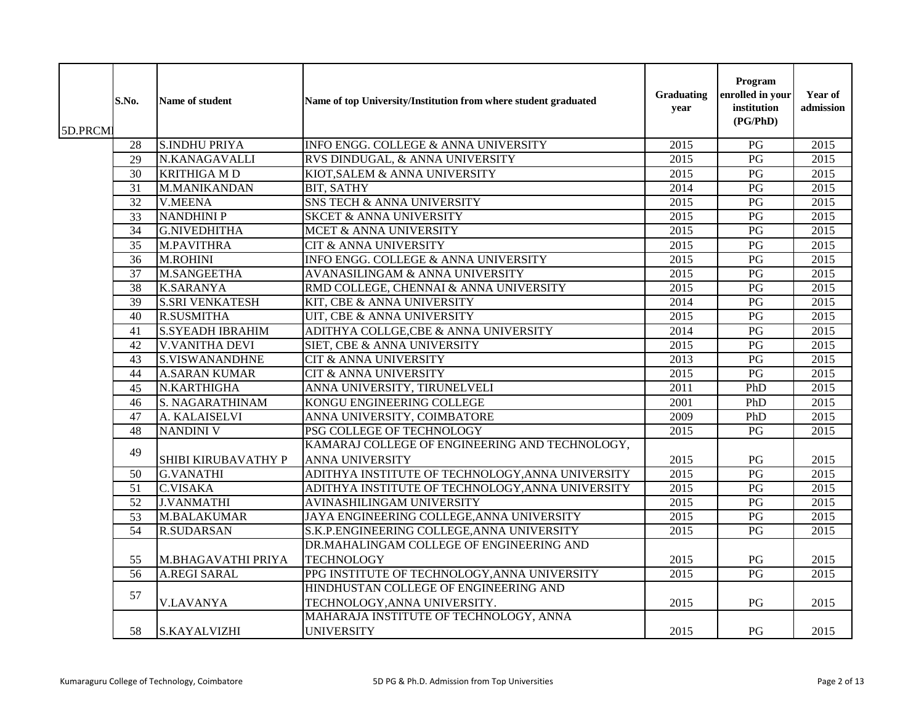| 5D.PRCMI | S.No.           | Name of student         | Name of top University/Institution from where student graduated | Graduating<br>year | Program<br>enrolled in your<br>institution<br>(PG/PhD) | Year of<br>admission |
|----------|-----------------|-------------------------|-----------------------------------------------------------------|--------------------|--------------------------------------------------------|----------------------|
|          | 28              | <b>S.INDHU PRIYA</b>    | INFO ENGG. COLLEGE & ANNA UNIVERSITY                            | 2015               | $\overline{PG}$                                        | 2015                 |
|          | 29              | N.KANAGAVALLI           | RVS DINDUGAL, & ANNA UNIVERSITY                                 | 2015               | PG                                                     | 2015                 |
|          | 30              | <b>KRITHIGA MD</b>      | KIOT, SALEM & ANNA UNIVERSITY                                   | 2015               | $\mathbf{P}\mathbf{G}$                                 | 2015                 |
|          | 31              | M.MANIKANDAN            | <b>BIT, SATHY</b>                                               | 2014               | PG                                                     | 2015                 |
|          | $\overline{32}$ | <b>V.MEENA</b>          | SNS TECH & ANNA UNIVERSITY                                      | 2015               | $\overline{PG}$                                        | 2015                 |
|          | 33              | <b>NANDHINI P</b>       | <b>SKCET &amp; ANNA UNIVERSITY</b>                              | 2015               | $\overline{PG}$                                        | 2015                 |
|          | $\overline{34}$ | <b>G.NIVEDHITHA</b>     | MCET & ANNA UNIVERSITY                                          | 2015               | PG                                                     | 2015                 |
|          | 35              | M.PAVITHRA              | <b>CIT &amp; ANNA UNIVERSITY</b>                                | 2015               | PG                                                     | 2015                 |
|          | 36              | M.ROHINI                | INFO ENGG. COLLEGE & ANNA UNIVERSITY                            | 2015               | PG                                                     | 2015                 |
|          | 37              | <b>M.SANGEETHA</b>      | AVANASILINGAM & ANNA UNIVERSITY                                 | 2015               | PG                                                     | 2015                 |
|          | 38              | <b>K.SARANYA</b>        | RMD COLLEGE, CHENNAI & ANNA UNIVERSITY                          | 2015               | PG                                                     | 2015                 |
|          | 39              | <b>S.SRI VENKATESH</b>  | KIT, CBE & ANNA UNIVERSITY                                      | 2014               | PG                                                     | 2015                 |
|          | 40              | <b>R.SUSMITHA</b>       | UIT, CBE & ANNA UNIVERSITY                                      | 2015               | PG                                                     | $\overline{2015}$    |
|          | 41              | <b>S.SYEADH IBRAHIM</b> | ADITHYA COLLGE,CBE & ANNA UNIVERSITY                            | 2014               | PG                                                     | 2015                 |
|          | 42              | <b>V.VANITHA DEVI</b>   | SIET, CBE & ANNA UNIVERSITY                                     | 2015               | $\overline{PG}$                                        | 2015                 |
|          | 43              | <b>S.VISWANANDHNE</b>   | <b>CIT &amp; ANNA UNIVERSITY</b>                                | 2013               | PG                                                     | 2015                 |
|          | 44              | <b>A.SARAN KUMAR</b>    | CIT & ANNA UNIVERSITY                                           | 2015               | PG                                                     | $\overline{2015}$    |
|          | 45              | N.KARTHIGHA             | ANNA UNIVERSITY, TIRUNELVELI                                    | 2011               | PhD                                                    | 2015                 |
|          | 46              | S. NAGARATHINAM         | KONGU ENGINEERING COLLEGE                                       | 2001               | PhD                                                    | 2015                 |
|          | 47              | A. KALAISELVI           | ANNA UNIVERSITY, COIMBATORE                                     | 2009               | PhD                                                    | $\overline{2015}$    |
|          | $\overline{48}$ | <b>NANDINI V</b>        | PSG COLLEGE OF TECHNOLOGY                                       | 2015               | PG                                                     | 2015                 |
|          |                 |                         | KAMARAJ COLLEGE OF ENGINEERING AND TECHNOLOGY,                  |                    |                                                        |                      |
|          | 49              | SHIBI KIRUBAVATHY P     | <b>ANNA UNIVERSITY</b>                                          | 2015               | PG                                                     | 2015                 |
|          | 50              | <b>G.VANATHI</b>        | ADITHYA INSTITUTE OF TECHNOLOGY, ANNA UNIVERSITY                | 2015               | $\overline{PG}$                                        | 2015                 |
|          | $\overline{51}$ | <b>C.VISAKA</b>         | ADITHYA INSTITUTE OF TECHNOLOGY, ANNA UNIVERSITY                | 2015               | PG                                                     | 2015                 |
|          | 52              | <b>J.VANMATHI</b>       | AVINASHILINGAM UNIVERSITY                                       | 2015               | PG                                                     | 2015                 |
|          | 53              | <b>M.BALAKUMAR</b>      | JAYA ENGINEERING COLLEGE, ANNA UNIVERSITY                       | 2015               | PG                                                     | 2015                 |
|          | $\overline{54}$ | <b>R.SUDARSAN</b>       | S.K.P.ENGINEERING COLLEGE, ANNA UNIVERSITY                      | $\overline{2015}$  | $\overline{PG}$                                        | $\overline{2015}$    |
|          |                 |                         | DR.MAHALINGAM COLLEGE OF ENGINEERING AND                        |                    |                                                        |                      |
|          | 55              | M.BHAGAVATHI PRIYA      | <b>TECHNOLOGY</b>                                               | 2015               | PG                                                     | 2015                 |
|          | 56              | <b>A.REGI SARAL</b>     | PPG INSTITUTE OF TECHNOLOGY, ANNA UNIVERSITY                    | 2015               | PG                                                     | 2015                 |
|          |                 |                         | HINDHUSTAN COLLEGE OF ENGINEERING AND                           |                    |                                                        |                      |
|          | 57              | <b>V.LAVANYA</b>        | TECHNOLOGY, ANNA UNIVERSITY.                                    | 2015               | PG                                                     | 2015                 |
|          |                 |                         | MAHARAJA INSTITUTE OF TECHNOLOGY, ANNA                          |                    |                                                        |                      |
|          | 58              | <b>S.KAYALVIZHI</b>     | <b>UNIVERSITY</b>                                               | 2015               | PG                                                     | 2015                 |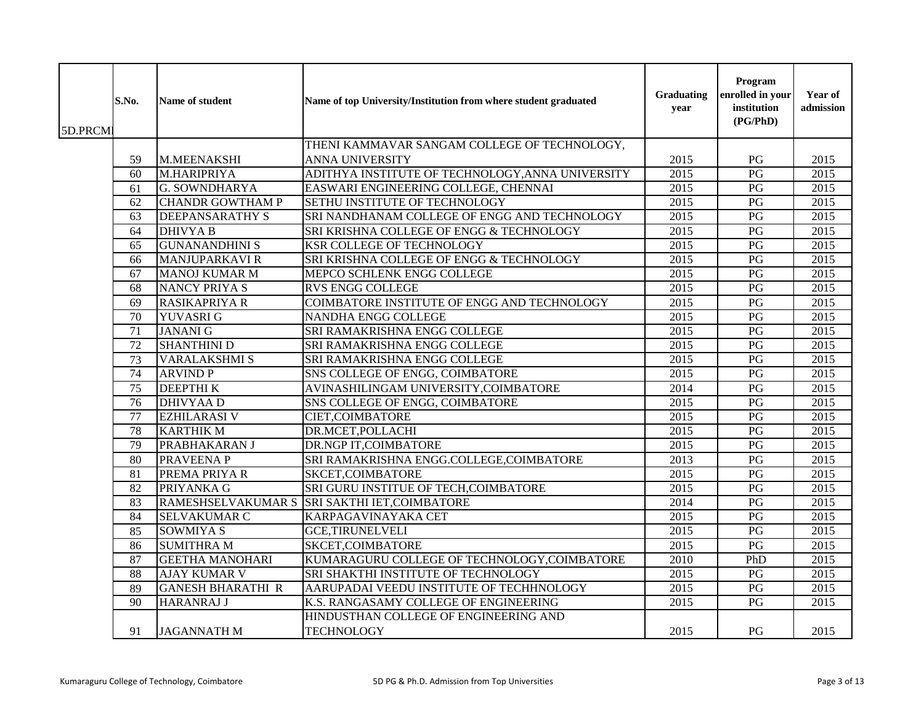| 5D.PRCMI | S.No.           | Name of student          | Name of top University/Institution from where student graduated | Graduating<br>year | Program<br>enrolled in your<br>institution<br>(PG/PhD) | Year of<br>admission |
|----------|-----------------|--------------------------|-----------------------------------------------------------------|--------------------|--------------------------------------------------------|----------------------|
|          |                 |                          | THENI KAMMAVAR SANGAM COLLEGE OF TECHNOLOGY,                    |                    |                                                        |                      |
|          | 59              | M.MEENAKSHI              | <b>ANNA UNIVERSITY</b>                                          | 2015               | PG                                                     | 2015                 |
|          | 60              | M.HARIPRIYA              | ADITHYA INSTITUTE OF TECHNOLOGY, ANNA UNIVERSITY                | 2015               | $\overline{PG}$                                        | 2015                 |
|          | 61              | <b>G. SOWNDHARYA</b>     | EASWARI ENGINEERING COLLEGE, CHENNAI                            | 2015               | $\mathbf{P}\mathbf{G}$                                 | 2015                 |
|          | 62              | <b>CHANDR GOWTHAM P</b>  | SETHU INSTITUTE OF TECHNOLOGY                                   | 2015               | $\overline{PG}$                                        | $\overline{2015}$    |
|          | 63              | <b>DEEPANSARATHY S</b>   | SRI NANDHANAM COLLEGE OF ENGG AND TECHNOLOGY                    | 2015               | $\overline{PG}$                                        | 2015                 |
|          | 64              | <b>DHIVYA B</b>          | SRI KRISHNA COLLEGE OF ENGG & TECHNOLOGY                        | 2015               | PG                                                     | 2015                 |
|          | 65              | <b>GUNANANDHINI S</b>    | <b>KSR COLLEGE OF TECHNOLOGY</b>                                | 2015               | $\overline{PG}$                                        | 2015                 |
|          | 66              | <b>MANJUPARKAVI R</b>    | SRI KRISHNA COLLEGE OF ENGG & TECHNOLOGY                        | 2015               | $\mathbf{P}\mathbf{G}$                                 | 2015                 |
|          | 67              | <b>MANOJ KUMAR M</b>     | MEPCO SCHLENK ENGG COLLEGE                                      | 2015               | PG                                                     | 2015                 |
|          | 68              | <b>NANCY PRIYA S</b>     | <b>RVS ENGG COLLEGE</b>                                         | 2015               | PG                                                     | 2015                 |
|          | 69              | <b>RASIKAPRIYA R</b>     | COIMBATORE INSTITUTE OF ENGG AND TECHNOLOGY                     | 2015               | $\overline{PG}$                                        | 2015                 |
|          | $\overline{70}$ | <b>YUVASRIG</b>          | <b>NANDHA ENGG COLLEGE</b>                                      | 2015               | $\overline{PG}$                                        | 2015                 |
|          | 71              | <b>JANANI G</b>          | SRI RAMAKRISHNA ENGG COLLEGE                                    | 2015               | $\overline{PG}$                                        | 2015                 |
|          | 72              | <b>SHANTHINI D</b>       | SRI RAMAKRISHNA ENGG COLLEGE                                    | 2015               | PG                                                     | $\overline{2015}$    |
|          | 73              | <b>VARALAKSHMI S</b>     | SRI RAMAKRISHNA ENGG COLLEGE                                    | 2015               | PG                                                     | 2015                 |
|          | 74              | <b>ARVIND P</b>          | SNS COLLEGE OF ENGG, COIMBATORE                                 | 2015               | PG                                                     | 2015                 |
|          | 75              | <b>DEEPTHIK</b>          | AVINASHILINGAM UNIVERSITY, COIMBATORE                           | 2014               | PG                                                     | 2015                 |
|          | 76              | <b>DHIVYAA D</b>         | SNS COLLEGE OF ENGG, COIMBATORE                                 | 2015               | $\overline{PG}$                                        | 2015                 |
|          | 77              | <b>EZHILARASI V</b>      | CIET, COIMBATORE                                                | 2015               | PG                                                     | 2015                 |
|          | 78              | <b>KARTHIK M</b>         | DR.MCET, POLLACHI                                               | 2015               | PG                                                     | 2015                 |
|          | 79              | PRABHAKARAN J            | DR.NGP IT, COIMBATORE                                           | 2015               | PG                                                     | 2015                 |
|          | 80              | PRAVEENA P               | SRI RAMAKRISHNA ENGG.COLLEGE,COIMBATORE                         | 2013               | PG                                                     | 2015                 |
|          | 81              | PREMA PRIYA R            | SKCET, COIMBATORE                                               | 2015               | PG                                                     | 2015                 |
|          | $\overline{82}$ | <b>PRIYANKA G</b>        | SRI GURU INSTITUE OF TECH, COIMBATORE                           | 2015               | PG                                                     | 2015                 |
|          | 83              |                          | RAMESHSELVAKUMAR S SRI SAKTHI IET, COIMBATORE                   | 2014               | PG                                                     | 2015                 |
|          | 84              | <b>SELVAKUMAR C</b>      | KARPAGAVINAYAKA CET                                             | 2015               | PG                                                     | 2015                 |
|          | 85              | <b>SOWMIYA S</b>         | <b>GCE,TIRUNELVELI</b>                                          | 2015               | PG                                                     | 2015                 |
|          | 86              | <b>SUMITHRA M</b>        | SKCET, COIMBATORE                                               | 2015               | $\overline{PG}$                                        | 2015                 |
|          | 87              | <b>GEETHA MANOHARI</b>   | KUMARAGURU COLLEGE OF TECHNOLOGY, COIMBATORE                    | 2010               | PhD                                                    | 2015                 |
|          | 88              | <b>AJAY KUMAR V</b>      | SRI SHAKTHI INSTITUTE OF TECHNOLOGY                             | $\overline{2015}$  | $\overline{PG}$                                        | 2015                 |
|          | 89              | <b>GANESH BHARATHI R</b> | AARUPADAI VEEDU INSTITUTE OF TECHHNOLOGY                        | 2015               | PG                                                     | 2015                 |
|          | $\overline{90}$ | <b>HARANRAJ J</b>        | K.S. RANGASAMY COLLEGE OF ENGINEERING                           | $\overline{2015}$  | PG                                                     | 2015                 |
|          |                 |                          | HINDUSTHAN COLLEGE OF ENGINEERING AND                           |                    |                                                        |                      |
|          | 91              | <b>JAGANNATH M</b>       | <b>TECHNOLOGY</b>                                               | 2015               | PG                                                     | 2015                 |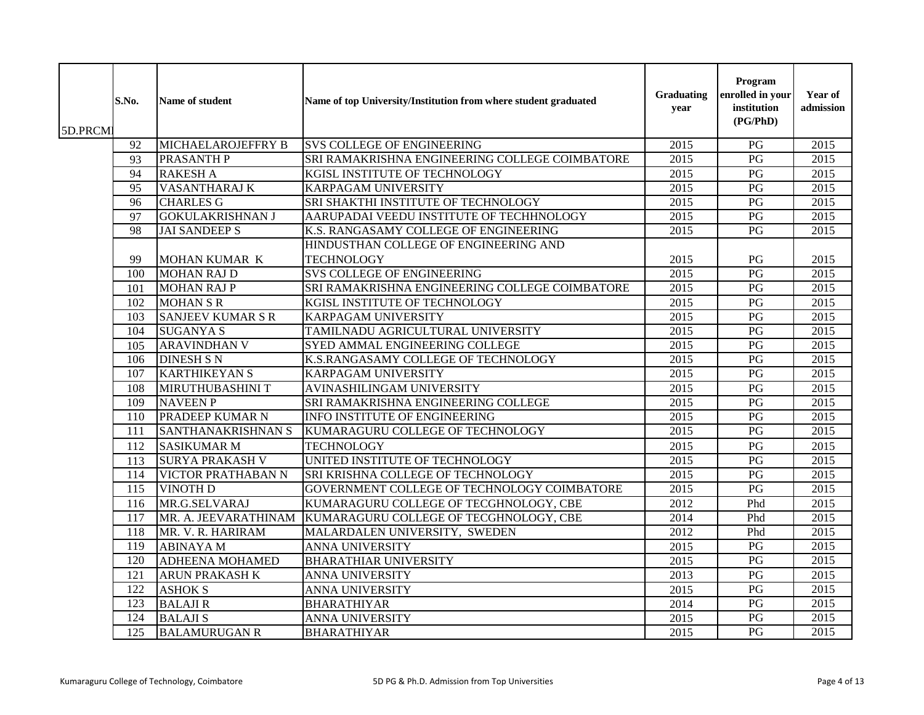| 5D.PRCMI | S.No. | Name of student           | Name of top University/Institution from where student graduated | Graduating<br>year | Program<br>enrolled in your<br>institution<br>(PG/PhD) | Year of<br>admission |
|----------|-------|---------------------------|-----------------------------------------------------------------|--------------------|--------------------------------------------------------|----------------------|
|          | 92    | <b>MICHAELAROJEFFRY B</b> | <b>SVS COLLEGE OF ENGINEERING</b>                               | 2015               | $\overline{PG}$                                        | 2015                 |
|          | 93    | <b>PRASANTH P</b>         | SRI RAMAKRISHNA ENGINEERING COLLEGE COIMBATORE                  | $\overline{2015}$  | $\overline{PG}$                                        | 2015                 |
|          | 94    | <b>RAKESH A</b>           | KGISL INSTITUTE OF TECHNOLOGY                                   | 2015               | $\mathbf{P}\mathbf{G}$                                 | 2015                 |
|          | 95    | VASANTHARAJ K             | <b>KARPAGAM UNIVERSITY</b>                                      | 2015               | PG                                                     | 2015                 |
|          | 96    | <b>CHARLES G</b>          | SRI SHAKTHI INSTITUTE OF TECHNOLOGY                             | 2015               | PG                                                     | 2015                 |
|          | 97    | <b>GOKULAKRISHNAN J</b>   | AARUPADAI VEEDU INSTITUTE OF TECHHNOLOGY                        | 2015               | PG                                                     | 2015                 |
|          | 98    | <b>JAI SANDEEP S</b>      | K.S. RANGASAMY COLLEGE OF ENGINEERING                           | 2015               | PG                                                     | 2015                 |
|          |       |                           | HINDUSTHAN COLLEGE OF ENGINEERING AND                           |                    |                                                        |                      |
|          | 99    | MOHAN KUMAR K             | <b>TECHNOLOGY</b>                                               | 2015               | PG                                                     | 2015                 |
|          | 100   | <b>MOHAN RAJ D</b>        | <b>SVS COLLEGE OF ENGINEERING</b>                               | 2015               | PG                                                     | 2015                 |
|          | 101   | <b>MOHAN RAJ P</b>        | SRI RAMAKRISHNA ENGINEERING COLLEGE COIMBATORE                  | $\overline{2015}$  | $\overline{PG}$                                        | 2015                 |
|          | 102   | <b>MOHAN S R</b>          | KGISL INSTITUTE OF TECHNOLOGY                                   | 2015               | PG                                                     | 2015                 |
|          | 103   | <b>SANJEEV KUMAR S R</b>  | <b>KARPAGAM UNIVERSITY</b>                                      | 2015               | PG                                                     | 2015                 |
|          | 104   | <b>SUGANYA S</b>          | TAMILNADU AGRICULTURAL UNIVERSITY                               | 2015               | $\overline{PG}$                                        | 2015                 |
|          | 105   | <b>ARAVINDHAN V</b>       | SYED AMMAL ENGINEERING COLLEGE                                  | 2015               | PG                                                     | 2015                 |
|          | 106   | <b>DINESH S N</b>         | K.S.RANGASAMY COLLEGE OF TECHNOLOGY                             | $\overline{2015}$  | PG                                                     | 2015                 |
|          | 107   | <b>KARTHIKEYAN S</b>      | KARPAGAM UNIVERSITY                                             | 2015               | PG                                                     | 2015                 |
|          | 108   | MIRUTHUBASHINI T          | AVINASHILINGAM UNIVERSITY                                       | 2015               | PG                                                     | 2015                 |
|          | 109   | <b>NAVEEN P</b>           | SRI RAMAKRISHNA ENGINEERING COLLEGE                             | 2015               | PG                                                     | 2015                 |
|          | 110   | PRADEEP KUMAR N           | <b>INFO INSTITUTE OF ENGINEERING</b>                            | 2015               | PG                                                     | 2015                 |
|          | 111   | SANTHANAKRISHNAN S        | KUMARAGURU COLLEGE OF TECHNOLOGY                                | 2015               | PG                                                     | 2015                 |
|          | 112   | <b>SASIKUMAR M</b>        | <b>TECHNOLOGY</b>                                               | 2015               | $\mathbf{P}\mathbf{G}$                                 | 2015                 |
|          | 113   | <b>SURYA PRAKASH V</b>    | UNITED INSTITUTE OF TECHNOLOGY                                  | 2015               | PG                                                     | 2015                 |
|          | 114   | VICTOR PRATHABAN N        | SRI KRISHNA COLLEGE OF TECHNOLOGY                               | 2015               | PG                                                     | 2015                 |
|          | 115   | <b>VINOTH D</b>           | GOVERNMENT COLLEGE OF TECHNOLOGY COIMBATORE                     | 2015               | PG                                                     | 2015                 |
|          | 116   | MR.G.SELVARAJ             | KUMARAGURU COLLEGE OF TECGHNOLOGY, CBE                          | 2012               | Phd                                                    | 2015                 |
|          | 117   | MR. A. JEEVARATHINAM      | KUMARAGURU COLLEGE OF TECGHNOLOGY, CBE                          | 2014               | Phd                                                    | 2015                 |
|          | 118   | MR. V. R. HARIRAM         | MALARDALEN UNIVERSITY, SWEDEN                                   | 2012               | Phd                                                    | 2015                 |
|          | 119   | <b>ABINAYAM</b>           | <b>ANNA UNIVERSITY</b>                                          | 2015               | PG                                                     | 2015                 |
|          | 120   | ADHEENA MOHAMED           | <b>BHARATHIAR UNIVERSITY</b>                                    | 2015               | PG                                                     | $\overline{2015}$    |
|          | 121   | ARUN PRAKASH K            | ANNA UNIVERSITY                                                 | 2013               | PG                                                     | 2015                 |
|          | 122   | <b>ASHOK S</b>            | ANNA UNIVERSITY                                                 | 2015               | $\mathbf{P}\mathbf{G}$                                 | 2015                 |
|          | 123   | <b>BALAJIR</b>            | <b>BHARATHIYAR</b>                                              | 2014               | $\mathbf{P}\mathbf{G}$                                 | 2015                 |
|          | 124   | <b>BALAJIS</b>            | <b>ANNA UNIVERSITY</b>                                          | 2015               | $\overline{PG}$                                        | 2015                 |
|          | 125   | <b>BALAMURUGAN R</b>      | <b>BHARATHIYAR</b>                                              | 2015               | $\mathbf{P}\mathbf{G}$                                 | 2015                 |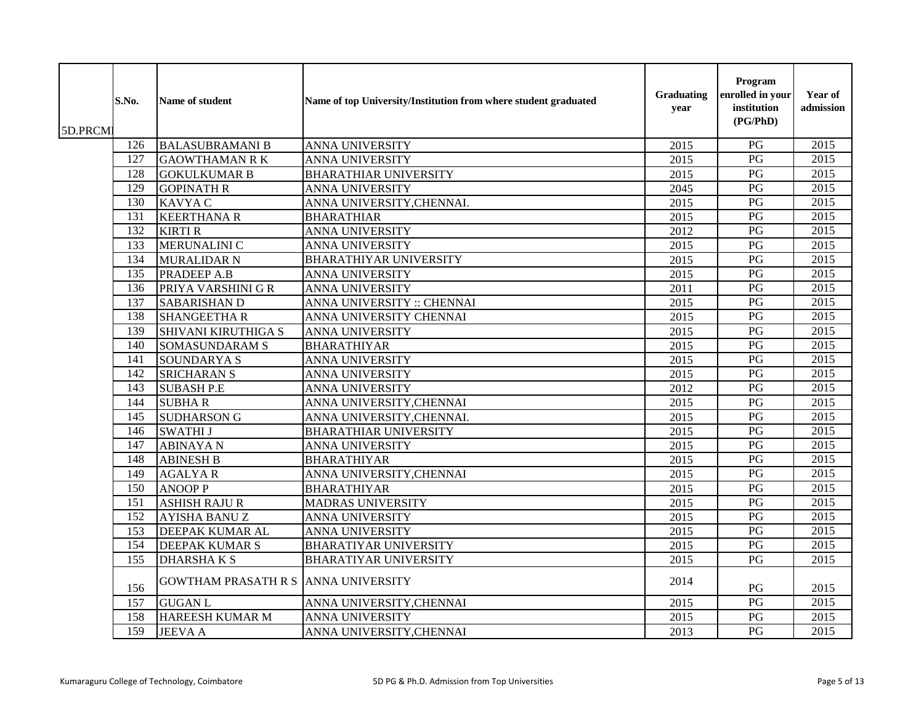| 5D.PRCMI | S.No. | <b>Name of student</b>                     | Name of top University/Institution from where student graduated | Graduating<br>year | Program<br>enrolled in your<br>institution<br>(PG/PhD) | Year of<br>admission |
|----------|-------|--------------------------------------------|-----------------------------------------------------------------|--------------------|--------------------------------------------------------|----------------------|
|          | 126   | <b>BALASUBRAMANI B</b>                     | <b>ANNA UNIVERSITY</b>                                          | 2015               | PG                                                     | $\overline{2015}$    |
|          | 127   | <b>GAOWTHAMAN R K</b>                      | <b>ANNA UNIVERSITY</b>                                          | 2015               | $\overline{PG}$                                        | $\overline{2015}$    |
|          | 128   | <b>GOKULKUMAR B</b>                        | <b>BHARATHIAR UNIVERSITY</b>                                    | 2015               | $\mathbf{P}\mathbf{G}$                                 | 2015                 |
|          | 129   | <b>GOPINATH R</b>                          | ANNA UNIVERSITY                                                 | 2045               | PG                                                     | 2015                 |
|          | 130   | KAVYA C                                    | ANNA UNIVERSITY, CHENNAI.                                       | 2015               | PG                                                     | 2015                 |
|          | 131   | <b>KEERTHANA R</b>                         | <b>BHARATHIAR</b>                                               | 2015               | PG                                                     | 2015                 |
|          | 132   | <b>KIRTI R</b>                             | ANNA UNIVERSITY                                                 | 2012               | PG                                                     | 2015                 |
|          | 133   | MERUNALINI C                               | ANNA UNIVERSITY                                                 | 2015               | $\overline{PG}$                                        | 2015                 |
|          | 134   | <b>MURALIDAR N</b>                         | <b>BHARATHIYAR UNIVERSITY</b>                                   | 2015               | PG                                                     | $\overline{2015}$    |
|          | 135   | PRADEEP A.B                                | <b>ANNA UNIVERSITY</b>                                          | 2015               | PG                                                     | 2015                 |
|          | 136   | PRIYA VARSHINI G R                         | ANNA UNIVERSITY                                                 | 2011               | PG                                                     | 2015                 |
|          | 137   | <b>SABARISHAN D</b>                        | ANNA UNIVERSITY :: CHENNAI                                      | 2015               | $\overline{PG}$                                        | 2015                 |
|          | 138   | <b>SHANGEETHA R</b>                        | ANNA UNIVERSITY CHENNAI                                         | 2015               | PG                                                     | 2015                 |
|          | 139   | <b>SHIVANI KIRUTHIGA S</b>                 | ANNA UNIVERSITY                                                 | 2015               | PG                                                     | 2015                 |
|          | 140   | <b>SOMASUNDARAM S</b>                      | <b>BHARATHIYAR</b>                                              | 2015               | PG                                                     | 2015                 |
|          | 141   | <b>SOUNDARYAS</b>                          | ANNA UNIVERSITY                                                 | 2015               | PG                                                     | $\overline{2015}$    |
|          | 142   | <b>SRICHARAN S</b>                         | ANNA UNIVERSITY                                                 | 2015               | $\mathbf{P}\mathbf{G}$                                 | 2015                 |
|          | 143   | <b>SUBASH P.E</b>                          | ANNA UNIVERSITY                                                 | 2012               | $\overline{PG}$                                        | $\overline{2015}$    |
|          | 144   | <b>SUBHAR</b>                              | ANNA UNIVERSITY, CHENNAI                                        | $\overline{2015}$  | PG                                                     | 2015                 |
|          | 145   | <b>SUDHARSON G</b>                         | ANNA UNIVERSITY, CHENNAI.                                       | 2015               | PG                                                     | 2015                 |
|          | 146   | <b>SWATHI J</b>                            | <b>BHARATHIAR UNIVERSITY</b>                                    | 2015               | PG                                                     | 2015                 |
|          | 147   | <b>ABINAYAN</b>                            | <b>ANNA UNIVERSITY</b>                                          | 2015               | PG                                                     | 2015                 |
|          | 148   | <b>ABINESH B</b>                           | <b>BHARATHIYAR</b>                                              | 2015               | PG                                                     | 2015                 |
|          | 149   | <b>AGALYAR</b>                             | ANNA UNIVERSITY, CHENNAI                                        | 2015               | $\overline{PG}$                                        | $\overline{2015}$    |
|          | 150   | <b>ANOOP P</b>                             | <b>BHARATHIYAR</b>                                              | 2015               | PG                                                     | 2015                 |
|          | 151   | <b>ASHISH RAJU R</b>                       | <b>MADRAS UNIVERSITY</b>                                        | 2015               | PG                                                     | 2015                 |
|          | 152   | <b>AYISHA BANU Z</b>                       | ANNA UNIVERSITY                                                 | 2015               | PG                                                     | $\overline{2015}$    |
|          | 153   | <b>DEEPAK KUMAR AL</b>                     | ANNA UNIVERSITY                                                 | 2015               | PG                                                     | 2015                 |
|          | 154   | DEEPAK KUMAR S                             | <b>BHARATIYAR UNIVERSITY</b>                                    | 2015               | PG                                                     | 2015                 |
|          | 155   | <b>DHARSHAKS</b>                           | <b>BHARATIYAR UNIVERSITY</b>                                    | 2015               | PG                                                     | 2015                 |
|          | 156   | <b>GOWTHAM PRASATH R S ANNA UNIVERSITY</b> |                                                                 | 2014               | PG                                                     | 2015                 |
|          | 157   | <b>GUGAN L</b>                             | ANNA UNIVERSITY, CHENNAI                                        | 2015               | PG                                                     | 2015                 |
|          | 158   | <b>HAREESH KUMAR M</b>                     | ANNA UNIVERSITY                                                 | 2015               | PG                                                     | 2015                 |
|          | 159   | <b>JEEVA A</b>                             | ANNA UNIVERSITY, CHENNAI                                        | 2013               | PG                                                     | 2015                 |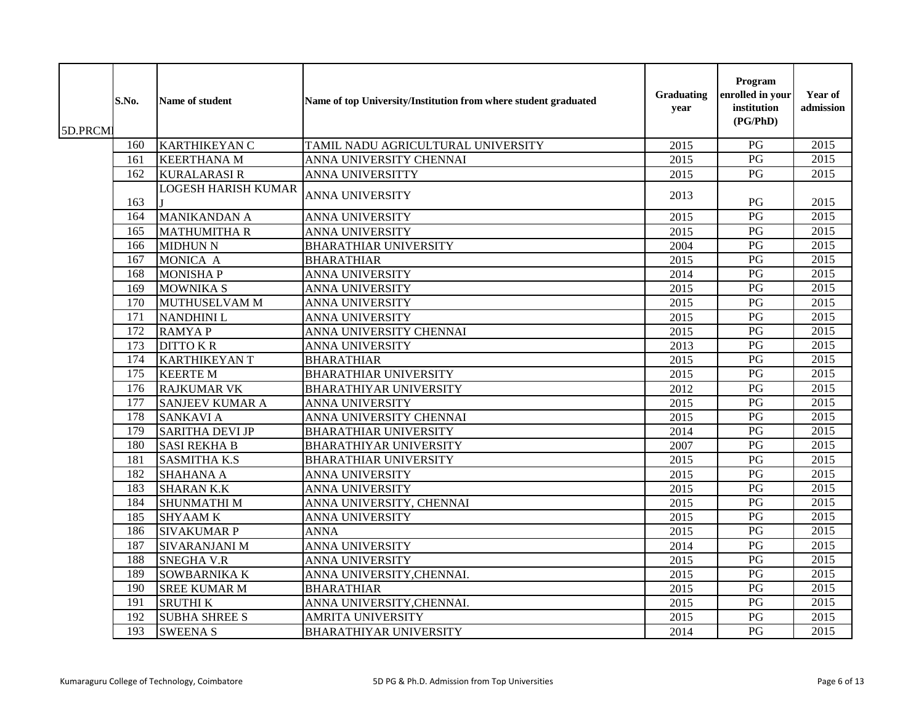| 5D.PRCM | S.No.            | Name of student            | Name of top University/Institution from where student graduated | Graduating<br>year | Program<br>enrolled in your<br>institution<br>(PG/PhD) | Year of<br>admission |
|---------|------------------|----------------------------|-----------------------------------------------------------------|--------------------|--------------------------------------------------------|----------------------|
|         | 160              | <b>KARTHIKEYAN C</b>       | TAMIL NADU AGRICULTURAL UNIVERSITY                              | 2015               | PG                                                     | $\overline{2015}$    |
|         | 161              | <b>KEERTHANA M</b>         | ANNA UNIVERSITY CHENNAI                                         | 2015               | $\overline{PG}$                                        | $\overline{2015}$    |
|         | 162              | <b>KURALARASIR</b>         | <b>ANNA UNIVERSITTY</b>                                         | 2015               | $\mathbf{P}\mathbf{G}$                                 | 2015                 |
|         | 163              | <b>LOGESH HARISH KUMAR</b> | ANNA UNIVERSITY                                                 | 2013               | PG                                                     | 2015                 |
|         | 164              | <b>MANIKANDAN A</b>        | <b>ANNA UNIVERSITY</b>                                          | 2015               | PG                                                     | 2015                 |
|         | 165              | <b>MATHUMITHA R</b>        | ANNA UNIVERSITY                                                 | 2015               | PG                                                     | 2015                 |
|         | 166              | <b>MIDHUN N</b>            | <b>BHARATHIAR UNIVERSITY</b>                                    | 2004               | $\overline{PG}$                                        | 2015                 |
|         | 167              | MONICA A                   | <b>BHARATHIAR</b>                                               | 2015               | PG                                                     | $\overline{2015}$    |
|         | 168              | <b>MONISHAP</b>            | <b>ANNA UNIVERSITY</b>                                          | 2014               | PG                                                     | 2015                 |
|         | 169              | <b>MOWNIKA S</b>           | ANNA UNIVERSITY                                                 | 2015               | PG                                                     | 2015                 |
|         | 170              | MUTHUSELVAM M              | <b>ANNA UNIVERSITY</b>                                          | 2015               | $\overline{PG}$                                        | 2015                 |
|         | $\overline{171}$ | <b>NANDHINI L</b>          | ANNA UNIVERSITY                                                 | 2015               | PG                                                     | 2015                 |
|         | $\overline{172}$ | <b>RAMYAP</b>              | ANNA UNIVERSITY CHENNAI                                         | 2015               | PG                                                     | $\overline{2015}$    |
|         | 173              | <b>DITTO KR</b>            | <b>ANNA UNIVERSITY</b>                                          | 2013               | PG                                                     | 2015                 |
|         | 174              | <b>KARTHIKEYAN T</b>       | <b>BHARATHIAR</b>                                               | 2015               | PG                                                     | $\overline{2015}$    |
|         | 175              | <b>KEERTE M</b>            | <b>BHARATHIAR UNIVERSITY</b>                                    | 2015               | PG                                                     | $\overline{2015}$    |
|         | 176              | <b>RAJKUMAR VK</b>         | <b>BHARATHIYAR UNIVERSITY</b>                                   | 2012               | PG                                                     | 2015                 |
|         | 177              | <b>SANJEEV KUMAR A</b>     | ANNA UNIVERSITY                                                 | 2015               | PG                                                     | 2015                 |
|         | 178              | <b>SANKAVI A</b>           | ANNA UNIVERSITY CHENNAI                                         | 2015               | PG                                                     | 2015                 |
|         | 179              | <b>SARITHA DEVI JP</b>     | <b>BHARATHIAR UNIVERSITY</b>                                    | 2014               | PG                                                     | 2015                 |
|         | 180              | <b>SASI REKHA B</b>        | <b>BHARATHIYAR UNIVERSITY</b>                                   | 2007               | PG                                                     | 2015                 |
|         | 181              | <b>SASMITHA K.S</b>        | <b>BHARATHIAR UNIVERSITY</b>                                    | 2015               | PG                                                     | 2015                 |
|         | 182              | <b>SHAHANA A</b>           | ANNA UNIVERSITY                                                 | 2015               | PG                                                     | 2015                 |
|         | 183              | <b>SHARAN K.K</b>          | <b>ANNA UNIVERSITY</b>                                          | 2015               | PG                                                     | 2015                 |
|         | 184              | <b>SHUNMATHIM</b>          | ANNA UNIVERSITY, CHENNAI                                        | 2015               | PG                                                     | $\overline{2015}$    |
|         | 185              | <b>SHYAAMK</b>             | <b>ANNA UNIVERSITY</b>                                          | 2015               | $\overline{PG}$                                        | $\overline{2015}$    |
|         | 186              | <b>SIVAKUMAR P</b>         | <b>ANNA</b>                                                     | 2015               | $\overline{PG}$                                        | 2015                 |
|         | 187              | SIVARANJANI M              | ANNA UNIVERSITY                                                 | 2014               | $\overline{PG}$                                        | 2015                 |
|         | 188              | <b>SNEGHA V.R</b>          | ANNA UNIVERSITY                                                 | 2015               | PG                                                     | 2015                 |
|         | 189              | <b>SOWBARNIKA K</b>        | ANNA UNIVERSITY, CHENNAI.                                       | 2015               | PG                                                     | 2015                 |
|         | 190              | <b>SREE KUMAR M</b>        | <b>BHARATHIAR</b>                                               | 2015               | $\overline{PG}$                                        | 2015                 |
|         | 191              | <b>SRUTHIK</b>             | ANNA UNIVERSITY, CHENNAI.                                       | 2015               | PG                                                     | 2015                 |
|         | 192              | <b>SUBHA SHREE S</b>       | <b>AMRITA UNIVERSITY</b>                                        | 2015               | PG                                                     | 2015                 |
|         | 193              | <b>SWEENA S</b>            | <b>BHARATHIYAR UNIVERSITY</b>                                   | 2014               | PG                                                     | 2015                 |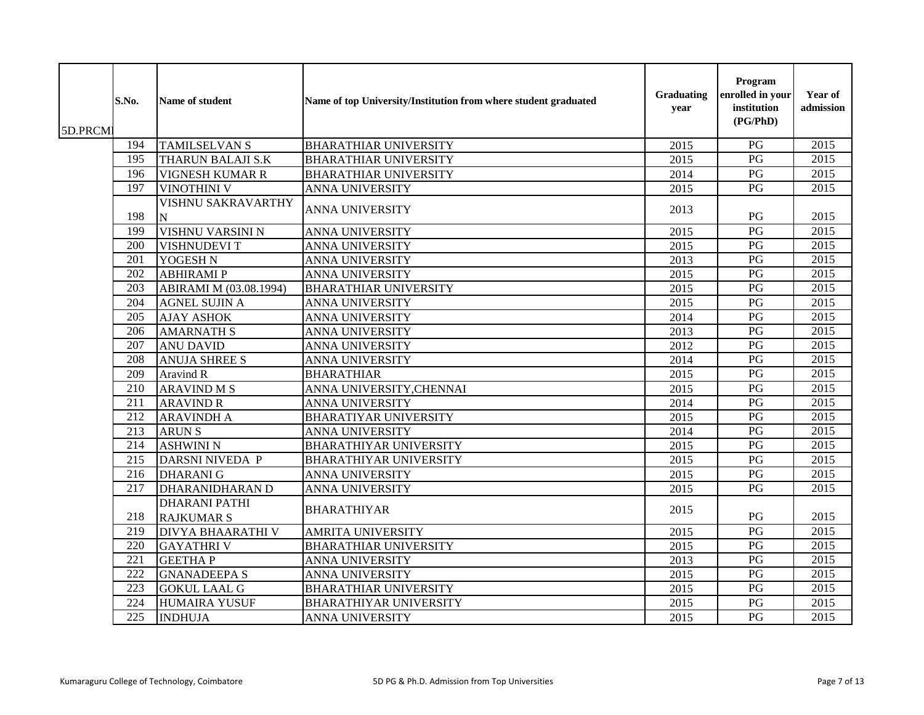| 5D.PRCM | S.No.            | Name of student                           | Name of top University/Institution from where student graduated | Graduating<br>year | Program<br>enrolled in your<br>institution<br>(PG/PhD) | Year of<br>admission |
|---------|------------------|-------------------------------------------|-----------------------------------------------------------------|--------------------|--------------------------------------------------------|----------------------|
|         | 194              | <b>TAMILSELVAN S</b>                      | <b>BHARATHIAR UNIVERSITY</b>                                    | 2015               | PG                                                     | 2015                 |
|         | 195              | <b>THARUN BALAJI S.K</b>                  | <b>BHARATHIAR UNIVERSITY</b>                                    | 2015               | $\overline{PG}$                                        | 2015                 |
|         | 196              | <b>VIGNESH KUMAR R</b>                    | <b>BHARATHIAR UNIVERSITY</b>                                    | 2014               | PG                                                     | 2015                 |
|         | 197              | <b>VINOTHINI V</b>                        | ANNA UNIVERSITY                                                 | 2015               | PG                                                     | 2015                 |
|         | 198              | VISHNU SAKRAVARTHY<br>N                   | <b>ANNA UNIVERSITY</b>                                          | 2013               | PG                                                     | 2015                 |
|         | 199              | VISHNU VARSINI N                          | <b>ANNA UNIVERSITY</b>                                          | 2015               | PG                                                     | 2015                 |
|         | 200              | <b>VISHNUDEVI T</b>                       | <b>ANNA UNIVERSITY</b>                                          | 2015               | PG                                                     | 2015                 |
|         | 201              | YOGESH N                                  | ANNA UNIVERSITY                                                 | 2013               | PG                                                     | 2015                 |
|         | 202              | <b>ABHIRAMIP</b>                          | <b>ANNA UNIVERSITY</b>                                          | 2015               | PG                                                     | 2015                 |
|         | 203              | ABIRAMI M (03.08.1994)                    | <b>BHARATHIAR UNIVERSITY</b>                                    | 2015               | PG                                                     | $\overline{2015}$    |
|         | 204              | <b>AGNEL SUJIN A</b>                      | <b>ANNA UNIVERSITY</b>                                          | 2015               | PG                                                     | 2015                 |
|         | 205              | <b>AJAY ASHOK</b>                         | ANNA UNIVERSITY                                                 | 2014               | $\overline{PG}$                                        | 2015                 |
|         | 206              | <b>AMARNATH S</b>                         | <b>ANNA UNIVERSITY</b>                                          | 2013               | PG                                                     | 2015                 |
|         | 207              | <b>ANU DAVID</b>                          | ANNA UNIVERSITY                                                 | 2012               | PG                                                     | 2015                 |
|         | 208              | <b>ANUJA SHREE S</b>                      | <b>ANNA UNIVERSITY</b>                                          | 2014               | PG                                                     | 2015                 |
|         | 209              | <b>Aravind R</b>                          | <b>BHARATHIAR</b>                                               | 2015               | PG                                                     | 2015                 |
|         | 210              | <b>ARAVIND M S</b>                        | ANNA UNIVERSITY, CHENNAI                                        | 2015               | $\overline{PG}$                                        | 2015                 |
|         | 211              | <b>ARAVIND R</b>                          | ANNA UNIVERSITY                                                 | 2014               | PG                                                     | 2015                 |
|         | $\overline{212}$ | <b>ARAVINDH A</b>                         | <b>BHARATIYAR UNIVERSITY</b>                                    | 2015               | PG                                                     | 2015                 |
|         | 213              | <b>ARUNS</b>                              | <b>ANNA UNIVERSITY</b>                                          | 2014               | PG                                                     | 2015                 |
|         | $\overline{214}$ | <b>ASHWINI N</b>                          | <b>BHARATHIYAR UNIVERSITY</b>                                   | 2015               | $\overline{PG}$                                        | 2015                 |
|         | 215              | <b>DARSNI NIVEDA P</b>                    | <b>BHARATHIYAR UNIVERSITY</b>                                   | 2015               | PG                                                     | 2015                 |
|         | 216              | <b>DHARANI G</b>                          | <b>ANNA UNIVERSITY</b>                                          | 2015               | $\mathbf{P}\mathbf{G}$                                 | 2015                 |
|         | 217              | <b>DHARANIDHARAN D</b>                    | <b>ANNA UNIVERSITY</b>                                          | 2015               | PG                                                     | 2015                 |
|         | 218              | <b>DHARANI PATHI</b><br><b>RAJKUMAR S</b> | <b>BHARATHIYAR</b>                                              | 2015               | PG                                                     | 2015                 |
|         | $\overline{219}$ | <b>DIVYA BHAARATHI V</b>                  | <b>AMRITA UNIVERSITY</b>                                        | 2015               | PG                                                     | 2015                 |
|         | 220              | <b>GAYATHRIV</b>                          | <b>BHARATHIAR UNIVERSITY</b>                                    | 2015               | PG                                                     | 2015                 |
|         | 221              | <b>GEETHAP</b>                            | <b>ANNA UNIVERSITY</b>                                          | 2013               | PG                                                     | 2015                 |
|         | 222              | <b>GNANADEEPA S</b>                       | <b>ANNA UNIVERSITY</b>                                          | 2015               | PG                                                     | $\overline{2015}$    |
|         | $\overline{223}$ | <b>GOKUL LAAL G</b>                       | <b>BHARATHIAR UNIVERSITY</b>                                    | 2015               | PG                                                     | 2015                 |
|         | 224              | <b>HUMAIRA YUSUF</b>                      | <b>BHARATHIYAR UNIVERSITY</b>                                   | 2015               | PG                                                     | 2015                 |
|         | 225              | <b>INDHUJA</b>                            | <b>ANNA UNIVERSITY</b>                                          | 2015               | PG                                                     | 2015                 |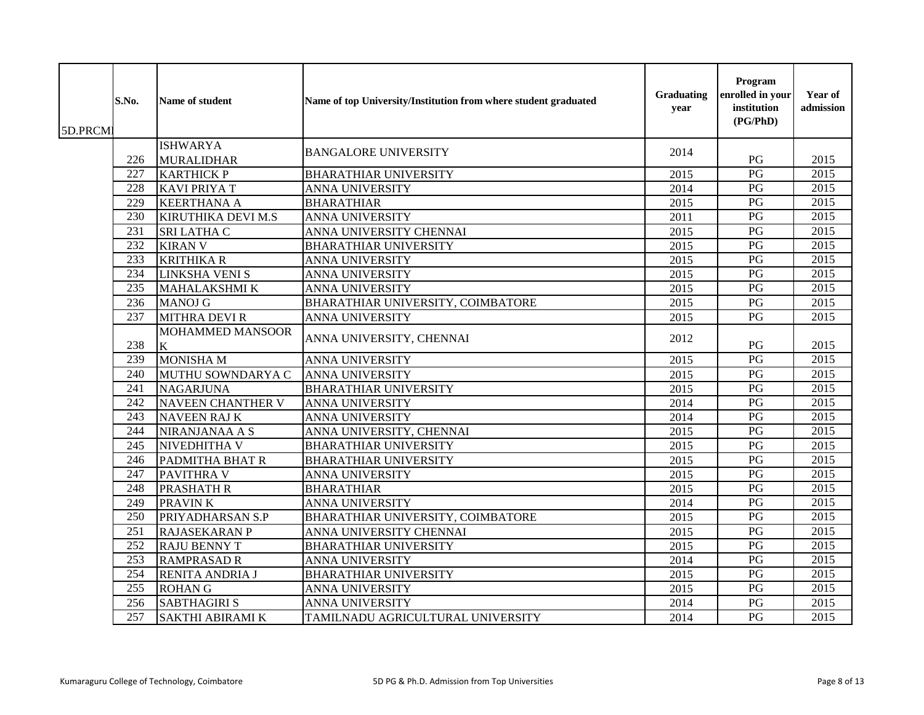| 5D.PRCMI | S.No.            | Name of student              | Name of top University/Institution from where student graduated | <b>Graduating</b><br>year | Program<br>enrolled in your<br>institution<br>(PG/PhD) | Year of<br>admission |
|----------|------------------|------------------------------|-----------------------------------------------------------------|---------------------------|--------------------------------------------------------|----------------------|
|          |                  | <b>ISHWARYA</b>              | <b>BANGALORE UNIVERSITY</b>                                     | 2014                      |                                                        |                      |
|          | 226              | <b>MURALIDHAR</b>            |                                                                 |                           | PG                                                     | 2015                 |
|          | $\overline{227}$ | <b>KARTHICK P</b>            | <b>BHARATHIAR UNIVERSITY</b>                                    | 2015                      | $\overline{PG}$                                        | 2015                 |
|          | 228              | <b>KAVI PRIYA T</b>          | <b>ANNA UNIVERSITY</b>                                          | 2014                      | PG                                                     | 2015                 |
|          | 229              | <b>KEERTHANA A</b>           | <b>BHARATHIAR</b>                                               | 2015                      | $\overline{PG}$                                        | $\overline{2015}$    |
|          | 230              | KIRUTHIKA DEVI M.S           | <b>ANNA UNIVERSITY</b>                                          | 2011                      | PG                                                     | $\overline{2015}$    |
|          | 231              | SRI LATHA C                  | ANNA UNIVERSITY CHENNAI                                         | 2015                      | $\mathbf{P}\mathbf{G}$                                 | 2015                 |
|          | 232              | <b>KIRAN V</b>               | <b>BHARATHIAR UNIVERSITY</b>                                    | 2015                      | PG                                                     | 2015                 |
|          | 233              | <b>KRITHIKA R</b>            | ANNA UNIVERSITY                                                 | 2015                      | PG                                                     | 2015                 |
|          | 234              | <b>LINKSHA VENI S</b>        | <b>ANNA UNIVERSITY</b>                                          | 2015                      | PG                                                     | 2015                 |
|          | 235              | <b>MAHALAKSHMI K</b>         | <b>ANNA UNIVERSITY</b>                                          | 2015                      | $\overline{PG}$                                        | 2015                 |
|          | 236              | <b>MANOJ G</b>               | BHARATHIAR UNIVERSITY, COIMBATORE                               | 2015                      | PG                                                     | 2015                 |
|          | 237              | <b>MITHRA DEVI R</b>         | <b>ANNA UNIVERSITY</b>                                          | 2015                      | PG                                                     | 2015                 |
|          | 238              | <b>MOHAMMED MANSOOR</b><br>K | ANNA UNIVERSITY, CHENNAI                                        | 2012                      | PG                                                     | 2015                 |
|          | 239              | <b>MONISHA M</b>             | ANNA UNIVERSITY                                                 | 2015                      | PG                                                     | 2015                 |
|          | 240              | MUTHU SOWNDARYA C            | <b>ANNA UNIVERSITY</b>                                          | 2015                      | PG                                                     | 2015                 |
|          | 241              | <b>NAGARJUNA</b>             | <b>BHARATHIAR UNIVERSITY</b>                                    | 2015                      | $\overline{PG}$                                        | 2015                 |
|          | 242              | <b>NAVEEN CHANTHER V</b>     | <b>ANNA UNIVERSITY</b>                                          | 2014                      | $\overline{PG}$                                        | 2015                 |
|          | 243              | NAVEEN RAJ K                 | ANNA UNIVERSITY                                                 | 2014                      | PG                                                     | 2015                 |
|          | 244              | NIRANJANAA A S               | ANNA UNIVERSITY, CHENNAI                                        | 2015                      | PG                                                     | 2015                 |
|          | 245              | NIVEDHITHA V                 | <b>BHARATHIAR UNIVERSITY</b>                                    | 2015                      | PG                                                     | 2015                 |
|          | 246              | PADMITHA BHAT R              | <b>BHARATHIAR UNIVERSITY</b>                                    | 2015                      | $\overline{PG}$                                        | 2015                 |
|          | 247              | <b>PAVITHRA V</b>            | ANNA UNIVERSITY                                                 | 2015                      | $\mathbf{P}\mathbf{G}$                                 | 2015                 |
|          | 248              | PRASHATH R                   | <b>BHARATHIAR</b>                                               | 2015                      | PG                                                     | 2015                 |
|          | 249              | <b>PRAVINK</b>               | ANNA UNIVERSITY                                                 | 2014                      | $\overline{PG}$                                        | 2015                 |
|          | 250              | PRIYADHARSAN S.P             | BHARATHIAR UNIVERSITY, COIMBATORE                               | 2015                      | $\mathbf{P}\mathbf{G}$                                 | 2015                 |
|          | 251              | <b>RAJASEKARAN P</b>         | ANNA UNIVERSITY CHENNAI                                         | 2015                      | PG                                                     | 2015                 |
|          | 252              | <b>RAJU BENNY T</b>          | <b>BHARATHIAR UNIVERSITY</b>                                    | 2015                      | $\overline{PG}$                                        | 2015                 |
|          | 253              | <b>RAMPRASAD R</b>           | <b>ANNA UNIVERSITY</b>                                          | 2014                      | PG                                                     | 2015                 |
|          | 254              | <b>RENITA ANDRIA J</b>       | <b>BHARATHIAR UNIVERSITY</b>                                    | 2015                      | PG                                                     | $\overline{2015}$    |
|          | 255              | <b>ROHANG</b>                | <b>ANNA UNIVERSITY</b>                                          | 2015                      | $\overline{PG}$                                        | 2015                 |
|          | 256              | <b>SABTHAGIRI S</b>          | <b>ANNA UNIVERSITY</b>                                          | 2014                      | $\mathbf{P}\mathbf{G}$                                 | 2015                 |
|          | 257              | <b>SAKTHI ABIRAMI K</b>      | TAMILNADU AGRICULTURAL UNIVERSITY                               | 2014                      | PG                                                     | 2015                 |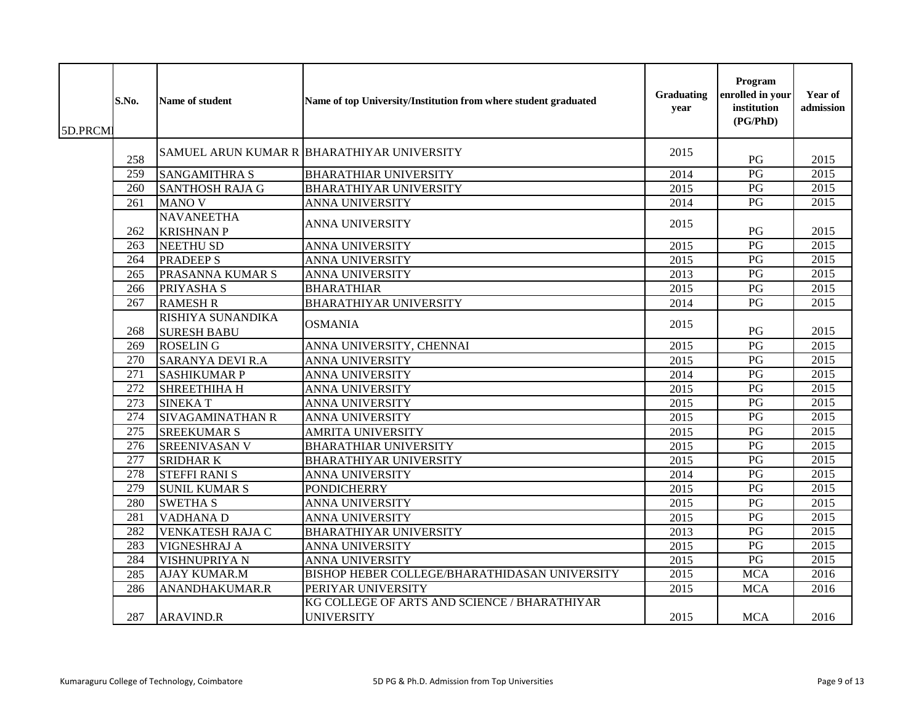| 5D.PRCM | S.No.            | Name of student                         | Name of top University/Institution from where student graduated   | <b>Graduating</b><br>year | Program<br>enrolled in your<br>institution<br>(PG/PhD) | Year of<br>admission |
|---------|------------------|-----------------------------------------|-------------------------------------------------------------------|---------------------------|--------------------------------------------------------|----------------------|
|         | 258              |                                         | SAMUEL ARUN KUMAR R BHARATHIYAR UNIVERSITY                        | 2015                      | PG                                                     | 2015                 |
|         | 259              | <b>SANGAMITHRA S</b>                    | <b>BHARATHIAR UNIVERSITY</b>                                      | 2014                      | $\overline{PG}$                                        | 2015                 |
|         | 260              | <b>SANTHOSH RAJA G</b>                  | <b>BHARATHIYAR UNIVERSITY</b>                                     | 2015                      | $\mathbf{P}\mathbf{G}$                                 | 2015                 |
|         | 261              | <b>MANO V</b>                           | <b>ANNA UNIVERSITY</b>                                            | 2014                      | PG                                                     | 2015                 |
|         | 262              | <b>NAVANEETHA</b><br><b>KRISHNAN P</b>  | <b>ANNA UNIVERSITY</b>                                            | 2015                      | PG                                                     | 2015                 |
|         | 263              | <b>NEETHU SD</b>                        | <b>ANNA UNIVERSITY</b>                                            | 2015                      | PG                                                     | 2015                 |
|         | 264              | <b>PRADEEP S</b>                        | ANNA UNIVERSITY                                                   | 2015                      | $\overline{PG}$                                        | $\overline{2015}$    |
|         | 265              | PRASANNA KUMAR S                        | ANNA UNIVERSITY                                                   | 2013                      | PG                                                     | 2015                 |
|         | 266              | PRIYASHA S                              | <b>BHARATHIAR</b>                                                 | 2015                      | PG                                                     | 2015                 |
|         | 267              | <b>RAMESH R</b>                         | <b>BHARATHIYAR UNIVERSITY</b>                                     | 2014                      | $\overline{PG}$                                        | 2015                 |
|         | 268              | RISHIYA SUNANDIKA<br><b>SURESH BABU</b> | <b>OSMANIA</b>                                                    | 2015                      | PG                                                     | 2015                 |
|         | 269              | <b>ROSELING</b>                         | ANNA UNIVERSITY, CHENNAI                                          | 2015                      | PG                                                     | $\overline{2015}$    |
|         | 270              | <b>SARANYA DEVI R.A</b>                 | <b>ANNA UNIVERSITY</b>                                            | 2015                      | PG                                                     | 2015                 |
|         | 271              | <b>SASHIKUMAR P</b>                     | <b>ANNA UNIVERSITY</b>                                            | 2014                      | PG                                                     | 2015                 |
|         | $\overline{272}$ | SHREETHIHA H                            | ANNA UNIVERSITY                                                   | 2015                      | PG                                                     | $\overline{2015}$    |
|         | 273              | <b>SINEKAT</b>                          | <b>ANNA UNIVERSITY</b>                                            | 2015                      | $\overline{PG}$                                        | 2015                 |
|         | 274              | SIVAGAMINATHAN R                        | <b>ANNA UNIVERSITY</b>                                            | 2015                      | PG                                                     | 2015                 |
|         | $\overline{275}$ | <b>SREEKUMAR S</b>                      | <b>AMRITA UNIVERSITY</b>                                          | 2015                      | $\overline{PG}$                                        | 2015                 |
|         | 276              | <b>SREENIVASAN V</b>                    | <b>BHARATHIAR UNIVERSITY</b>                                      | 2015                      | PG                                                     | 2015                 |
|         | 277              | <b>SRIDHARK</b>                         | <b>BHARATHIYAR UNIVERSITY</b>                                     | 2015                      | PG                                                     | 2015                 |
|         | 278              | <b>STEFFI RANI S</b>                    | <b>ANNA UNIVERSITY</b>                                            | 2014                      | $\overline{PG}$                                        | 2015                 |
|         | 279              | <b>SUNIL KUMAR S</b>                    | <b>PONDICHERRY</b>                                                | 2015                      | PG                                                     | 2015                 |
|         | 280              | <b>SWETHA S</b>                         | ANNA UNIVERSITY                                                   | 2015                      | PG                                                     | 2015                 |
|         | 281              | <b>VADHANA D</b>                        | ANNA UNIVERSITY                                                   | 2015                      | $\overline{PG}$                                        | $\overline{2015}$    |
|         | 282              | <b>VENKATESH RAJA C</b>                 | <b>BHARATHIYAR UNIVERSITY</b>                                     | 2013                      | $\overline{PG}$                                        | 2015                 |
|         | 283              | VIGNESHRAJ A                            | <b>ANNA UNIVERSITY</b>                                            | 2015                      | PG                                                     | $\overline{2015}$    |
|         | 284              | VISHNUPRIYA N                           | <b>ANNA UNIVERSITY</b>                                            | 2015                      | $\overline{PG}$                                        | $\overline{2015}$    |
|         | 285              | <b>AJAY KUMAR.M</b>                     | BISHOP HEBER COLLEGE/BHARATHIDASAN UNIVERSITY                     | 2015                      | <b>MCA</b>                                             | 2016                 |
|         | 286              | ANANDHAKUMAR.R                          | PERIYAR UNIVERSITY                                                | 2015                      | <b>MCA</b>                                             | 2016                 |
|         | 287              | <b>ARAVIND.R</b>                        | KG COLLEGE OF ARTS AND SCIENCE / BHARATHIYAR<br><b>UNIVERSITY</b> | 2015                      | <b>MCA</b>                                             | 2016                 |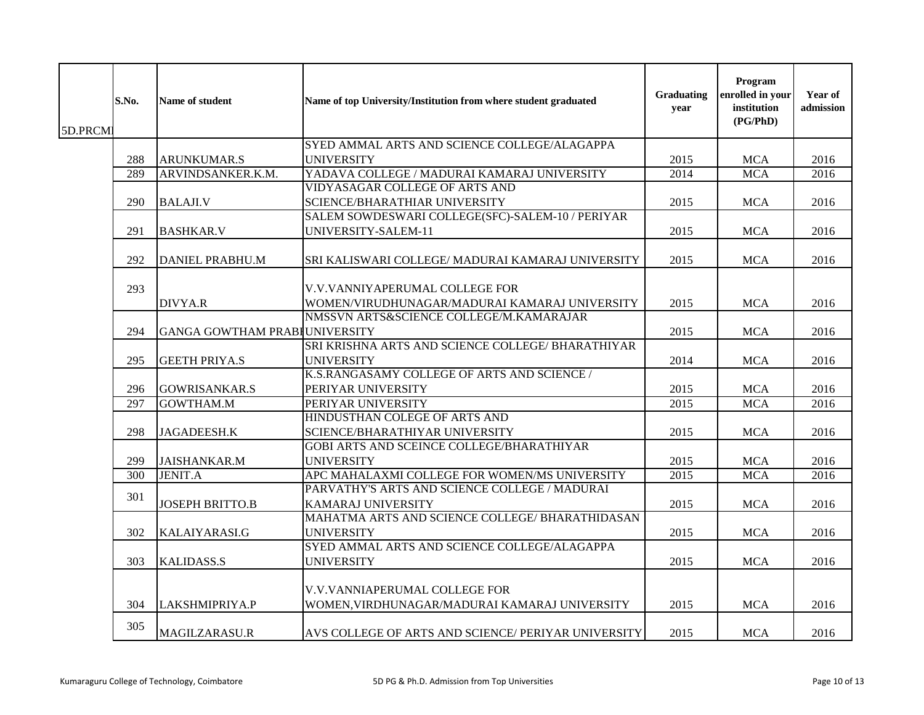| 5D.PRCM | S.No. | Name of student               | Name of top University/Institution from where student graduated                 | Graduating<br>year | Program<br>enrolled in your<br>institution<br>(PG/PhD) | Year of<br>admission |
|---------|-------|-------------------------------|---------------------------------------------------------------------------------|--------------------|--------------------------------------------------------|----------------------|
|         |       |                               | SYED AMMAL ARTS AND SCIENCE COLLEGE/ALAGAPPA                                    |                    |                                                        |                      |
|         | 288   | <b>ARUNKUMAR.S</b>            | <b>UNIVERSITY</b>                                                               | 2015               | <b>MCA</b>                                             | 2016                 |
|         | 289   | ARVINDSANKER.K.M.             | YADAVA COLLEGE / MADURAI KAMARAJ UNIVERSITY                                     | 2014               | <b>MCA</b>                                             | 2016                 |
|         | 290   | <b>BALAJI.V</b>               | VIDYASAGAR COLLEGE OF ARTS AND<br>SCIENCE/BHARATHIAR UNIVERSITY                 | 2015               | <b>MCA</b>                                             | 2016                 |
|         | 291   | <b>BASHKAR.V</b>              | SALEM SOWDESWARI COLLEGE(SFC)-SALEM-10 / PERIYAR<br>UNIVERSITY-SALEM-11         | 2015               | <b>MCA</b>                                             | 2016                 |
|         | 292   | <b>DANIEL PRABHU.M</b>        | SRI KALISWARI COLLEGE/ MADURAI KAMARAJ UNIVERSITY                               | 2015               | <b>MCA</b>                                             | 2016                 |
|         | 293   | <b>DIVYA.R</b>                | V.V.VANNIYAPERUMAL COLLEGE FOR<br>WOMEN/VIRUDHUNAGAR/MADURAI KAMARAJ UNIVERSITY | 2015               | <b>MCA</b>                                             | 2016                 |
|         | 294   | GANGA GOWTHAM PRABIUNIVERSITY | NMSSVN ARTS&SCIENCE COLLEGE/M.KAMARAJAR                                         | 2015               | <b>MCA</b>                                             | 2016                 |
|         |       |                               | SRI KRISHNA ARTS AND SCIENCE COLLEGE/ BHARATHIYAR                               |                    |                                                        |                      |
|         | 295   | <b>GEETH PRIYA.S</b>          | <b>UNIVERSITY</b>                                                               | 2014               | <b>MCA</b>                                             | 2016                 |
|         | 296   | <b>GOWRISANKAR.S</b>          | K.S.RANGASAMY COLLEGE OF ARTS AND SCIENCE /<br>PERIYAR UNIVERSITY               | 2015               | <b>MCA</b>                                             | 2016                 |
|         | 297   | <b>GOWTHAM.M</b>              | PERIYAR UNIVERSITY                                                              | 2015               | <b>MCA</b>                                             | 2016                 |
|         | 298   | JAGADEESH.K                   | HINDUSTHAN COLEGE OF ARTS AND<br>SCIENCE/BHARATHIYAR UNIVERSITY                 | 2015               | <b>MCA</b>                                             | 2016                 |
|         | 299   | <b>JAISHANKAR.M</b>           | GOBI ARTS AND SCEINCE COLLEGE/BHARATHIYAR<br><b>UNIVERSITY</b>                  | 2015               | <b>MCA</b>                                             | 2016                 |
|         | 300   | <b>JENIT.A</b>                | APC MAHALAXMI COLLEGE FOR WOMEN/MS UNIVERSITY                                   | 2015               | <b>MCA</b>                                             | 2016                 |
|         | 301   | <b>JOSEPH BRITTO.B</b>        | PARVATHY'S ARTS AND SCIENCE COLLEGE / MADURAI<br><b>KAMARAJ UNIVERSITY</b>      | 2015               | <b>MCA</b>                                             | 2016                 |
|         | 302   | KALAIYARASI.G                 | MAHATMA ARTS AND SCIENCE COLLEGE/ BHARATHIDASAN<br><b>UNIVERSITY</b>            | 2015               | <b>MCA</b>                                             | 2016                 |
|         | 303   | <b>KALIDASS.S</b>             | SYED AMMAL ARTS AND SCIENCE COLLEGE/ALAGAPPA<br><b>UNIVERSITY</b>               | 2015               | <b>MCA</b>                                             | 2016                 |
|         | 304   | LAKSHMIPRIYA.P                | V.V.VANNIAPERUMAL COLLEGE FOR<br>WOMEN, VIRDHUNAGAR/MADURAI KAMARAJ UNIVERSITY  | 2015               | <b>MCA</b>                                             | 2016                 |
|         | 305   | <b>MAGILZARASU.R</b>          | AVS COLLEGE OF ARTS AND SCIENCE/ PERIYAR UNIVERSITY                             | 2015               | <b>MCA</b>                                             | 2016                 |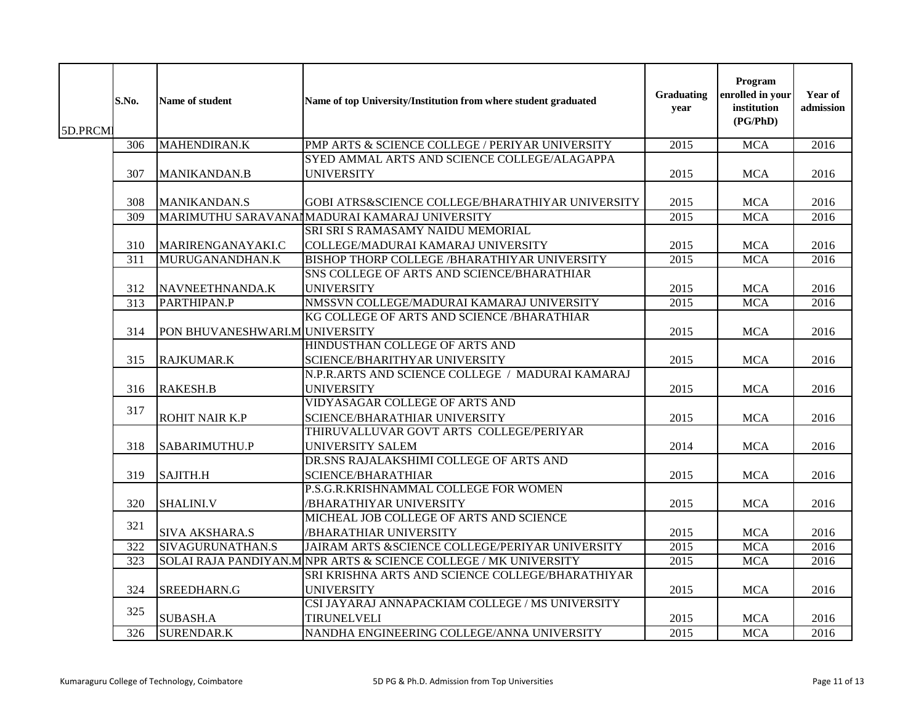| 5D.PRCM | S.No. | <b>Name of student</b>        | Name of top University/Institution from where student graduated  | Graduating<br>year | Program<br>enrolled in your<br>institution<br>(PG/PhD) | Year of<br>admission |
|---------|-------|-------------------------------|------------------------------------------------------------------|--------------------|--------------------------------------------------------|----------------------|
|         | 306   | <b>MAHENDIRAN.K</b>           | PMP ARTS & SCIENCE COLLEGE / PERIYAR UNIVERSITY                  | 2015               | <b>MCA</b>                                             | 2016                 |
|         |       |                               | SYED AMMAL ARTS AND SCIENCE COLLEGE/ALAGAPPA                     |                    |                                                        |                      |
|         | 307   | <b>MANIKANDAN.B</b>           | <b>UNIVERSITY</b>                                                | 2015               | <b>MCA</b>                                             | 2016                 |
|         | 308   | <b>MANIKANDAN.S</b>           | GOBI ATRS&SCIENCE COLLEGE/BHARATHIYAR UNIVERSITY                 | 2015               | <b>MCA</b>                                             | 2016                 |
|         | 309   |                               | MARIMUTHU SARAVANAI MADURAI KAMARAJ UNIVERSITY                   | 2015               | <b>MCA</b>                                             | 2016                 |
|         |       |                               | SRI SRI S RAMASAMY NAIDU MEMORIAL                                |                    |                                                        |                      |
|         | 310   | <b>MARIRENGANAYAKI.C</b>      | COLLEGE/MADURAI KAMARAJ UNIVERSITY                               | 2015               | <b>MCA</b>                                             | 2016                 |
|         | 311   | MURUGANANDHAN.K               | BISHOP THORP COLLEGE /BHARATHIYAR UNIVERSITY                     | 2015               | <b>MCA</b>                                             | 2016                 |
|         |       |                               | SNS COLLEGE OF ARTS AND SCIENCE/BHARATHIAR                       |                    |                                                        |                      |
|         | 312   | NAVNEETHNANDA.K               | <b>UNIVERSITY</b>                                                | 2015               | MCA                                                    | 2016                 |
|         | 313   | PARTHIPAN.P                   | NMSSVN COLLEGE/MADURAI KAMARAJ UNIVERSITY                        | 2015               | <b>MCA</b>                                             | 2016                 |
|         |       |                               | KG COLLEGE OF ARTS AND SCIENCE /BHARATHIAR                       |                    |                                                        |                      |
|         | 314   | PON BHUVANESHWARI.MUNIVERSITY |                                                                  | 2015               | <b>MCA</b>                                             | 2016                 |
|         |       |                               | HINDUSTHAN COLLEGE OF ARTS AND                                   |                    |                                                        |                      |
|         | 315   | RAJKUMAR.K                    | SCIENCE/BHARITHYAR UNIVERSITY                                    | 2015               | <b>MCA</b>                                             | 2016                 |
|         |       |                               | N.P.R.ARTS AND SCIENCE COLLEGE / MADURAI KAMARAJ                 |                    |                                                        |                      |
|         | 316   | <b>RAKESH.B</b>               | <b>UNIVERSITY</b>                                                | 2015               | <b>MCA</b>                                             | 2016                 |
|         | 317   |                               | VIDYASAGAR COLLEGE OF ARTS AND                                   |                    |                                                        |                      |
|         |       | <b>ROHIT NAIR K.P</b>         | SCIENCE/BHARATHIAR UNIVERSITY                                    | 2015               | <b>MCA</b>                                             | 2016                 |
|         |       |                               | THIRUVALLUVAR GOVT ARTS COLLEGE/PERIYAR                          |                    |                                                        |                      |
|         | 318   | SABARIMUTHU.P                 | UNIVERSITY SALEM                                                 | 2014               | <b>MCA</b>                                             | 2016                 |
|         |       |                               | DR.SNS RAJALAKSHIMI COLLEGE OF ARTS AND                          |                    |                                                        |                      |
|         | 319   | SAJITH.H                      | <b>SCIENCE/BHARATHIAR</b>                                        | 2015               | <b>MCA</b>                                             | 2016                 |
|         |       |                               | P.S.G.R.KRISHNAMMAL COLLEGE FOR WOMEN                            |                    |                                                        |                      |
|         | 320   | <b>SHALINI.V</b>              | /BHARATHIYAR UNIVERSITY                                          | 2015               | <b>MCA</b>                                             | 2016                 |
|         | 321   |                               | MICHEAL JOB COLLEGE OF ARTS AND SCIENCE                          |                    |                                                        |                      |
|         |       | <b>SIVA AKSHARA.S</b>         | /BHARATHIAR UNIVERSITY                                           | 2015               | <b>MCA</b>                                             | 2016                 |
|         | 322   | SIVAGURUNATHAN.S              | JAIRAM ARTS &SCIENCE COLLEGE/PERIYAR UNIVERSITY                  | 2015               | <b>MCA</b>                                             | 2016                 |
|         | 323   |                               | SOLAI RAJA PANDIYAN.M NPR ARTS & SCIENCE COLLEGE / MK UNIVERSITY | 2015               | <b>MCA</b>                                             | 2016                 |
|         |       |                               | SRI KRISHNA ARTS AND SCIENCE COLLEGE/BHARATHIYAR                 |                    |                                                        |                      |
|         | 324   | SREEDHARN.G                   | <b>UNIVERSITY</b>                                                | 2015               | <b>MCA</b>                                             | 2016                 |
|         | 325   |                               | CSI JAYARAJ ANNAPACKIAM COLLEGE / MS UNIVERSITY                  |                    |                                                        |                      |
|         |       | <b>SUBASH.A</b>               | <b>TIRUNELVELI</b>                                               | 2015               | <b>MCA</b>                                             | 2016                 |
|         | 326   | <b>SURENDAR.K</b>             | NANDHA ENGINEERING COLLEGE/ANNA UNIVERSITY                       | 2015               | <b>MCA</b>                                             | 2016                 |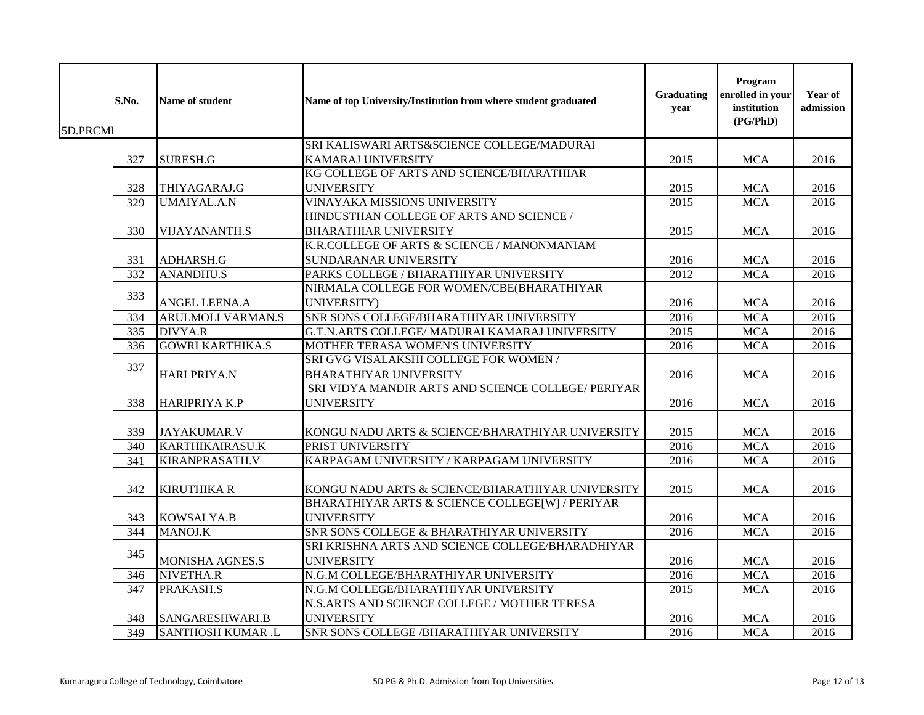| 5D.PRCMI | S.No. | Name of student          | Name of top University/Institution from where student graduated         | Graduating<br>year | Program<br>enrolled in your<br>institution<br>(PG/PhD) | Year of<br>admission |
|----------|-------|--------------------------|-------------------------------------------------------------------------|--------------------|--------------------------------------------------------|----------------------|
|          |       |                          | SRI KALISWARI ARTS&SCIENCE COLLEGE/MADURAI                              |                    |                                                        |                      |
|          | 327   | <b>SURESH.G</b>          | <b>KAMARAJ UNIVERSITY</b>                                               | 2015               | <b>MCA</b>                                             | 2016                 |
|          |       |                          | KG COLLEGE OF ARTS AND SCIENCE/BHARATHIAR                               |                    |                                                        |                      |
|          | 328   | THIYAGARAJ.G             | <b>UNIVERSITY</b>                                                       | 2015               | <b>MCA</b>                                             | 2016                 |
|          | 329   | <b>UMAIYAL.A.N</b>       | VINAYAKA MISSIONS UNIVERSITY                                            | 2015               | <b>MCA</b>                                             | 2016                 |
|          |       |                          | HINDUSTHAN COLLEGE OF ARTS AND SCIENCE /                                |                    |                                                        |                      |
|          | 330   | <b>VIJAYANANTH.S</b>     | <b>BHARATHIAR UNIVERSITY</b>                                            | 2015               | <b>MCA</b>                                             | 2016                 |
|          |       |                          | K.R.COLLEGE OF ARTS & SCIENCE / MANONMANIAM                             |                    |                                                        |                      |
|          | 331   | ADHARSH.G                | SUNDARANAR UNIVERSITY                                                   | 2016               | <b>MCA</b>                                             | 2016                 |
|          | 332   | <b>ANANDHU.S</b>         | PARKS COLLEGE / BHARATHIYAR UNIVERSITY                                  | 2012               | <b>MCA</b>                                             | 2016                 |
|          |       |                          | NIRMALA COLLEGE FOR WOMEN/CBE(BHARATHIYAR                               |                    |                                                        |                      |
|          | 333   | <b>ANGEL LEENA.A</b>     | <b>UNIVERSITY)</b>                                                      | 2016               | <b>MCA</b>                                             | 2016                 |
|          | 334   | <b>ARULMOLI VARMAN.S</b> | SNR SONS COLLEGE/BHARATHIYAR UNIVERSITY                                 | 2016               | <b>MCA</b>                                             | 2016                 |
|          | 335   | <b>DIVYA.R</b>           | G.T.N.ARTS COLLEGE/ MADURAI KAMARAJ UNIVERSITY                          | 2015               | <b>MCA</b>                                             | 2016                 |
|          | 336   | <b>GOWRI KARTHIKA.S</b>  | MOTHER TERASA WOMEN'S UNIVERSITY                                        | 2016               | <b>MCA</b>                                             | 2016                 |
|          | 337   | HARI PRIYA.N             | SRI GVG VISALAKSHI COLLEGE FOR WOMEN /<br><b>BHARATHIYAR UNIVERSITY</b> | 2016               | <b>MCA</b>                                             | 2016                 |
|          |       |                          | SRI VIDYA MANDIR ARTS AND SCIENCE COLLEGE/ PERIYAR                      |                    |                                                        |                      |
|          | 338   | HARIPRIYA K.P            | <b>UNIVERSITY</b>                                                       | 2016               | <b>MCA</b>                                             | 2016                 |
|          | 339   | <b>JAYAKUMAR.V</b>       | KONGU NADU ARTS & SCIENCE/BHARATHIYAR UNIVERSITY                        | 2015               | <b>MCA</b>                                             | 2016                 |
|          | 340   | <b>KARTHIKAIRASU.K</b>   | PRIST UNIVERSITY                                                        | 2016               | <b>MCA</b>                                             | 2016                 |
|          | 341   | <b>KIRANPRASATH.V</b>    | KARPAGAM UNIVERSITY / KARPAGAM UNIVERSITY                               | 2016               | <b>MCA</b>                                             | 2016                 |
|          | 342   | <b>KIRUTHIKA R</b>       | KONGU NADU ARTS & SCIENCE/BHARATHIYAR UNIVERSITY                        | 2015               | <b>MCA</b>                                             | 2016                 |
|          | 343   | KOWSALYA.B               | BHARATHIYAR ARTS & SCIENCE COLLEGE[W] / PERIYAR<br><b>UNIVERSITY</b>    | 2016               | <b>MCA</b>                                             | 2016                 |
|          | 344   | MANOJ.K                  | SNR SONS COLLEGE & BHARATHIYAR UNIVERSITY                               | 2016               | <b>MCA</b>                                             | 2016                 |
|          | 345   |                          | SRI KRISHNA ARTS AND SCIENCE COLLEGE/BHARADHIYAR                        |                    |                                                        |                      |
|          |       | MONISHA AGNES.S          | <b>UNIVERSITY</b>                                                       | 2016               | <b>MCA</b>                                             | 2016                 |
|          | 346   | NIVETHA.R                | N.G.M COLLEGE/BHARATHIYAR UNIVERSITY                                    | 2016               | <b>MCA</b>                                             | 2016                 |
|          | 347   | PRAKASH.S                | N.G.M COLLEGE/BHARATHIYAR UNIVERSITY                                    | 2015               | <b>MCA</b>                                             | 2016                 |
|          |       |                          | N.S.ARTS AND SCIENCE COLLEGE / MOTHER TERESA                            |                    |                                                        |                      |
|          | 348   | SANGARESHWARI.B          | <b>UNIVERSITY</b>                                                       | 2016               | <b>MCA</b>                                             | 2016                 |
|          | 349   | <b>SANTHOSH KUMAR .L</b> | SNR SONS COLLEGE / BHARATHIYAR UNIVERSITY                               | 2016               | <b>MCA</b>                                             | 2016                 |